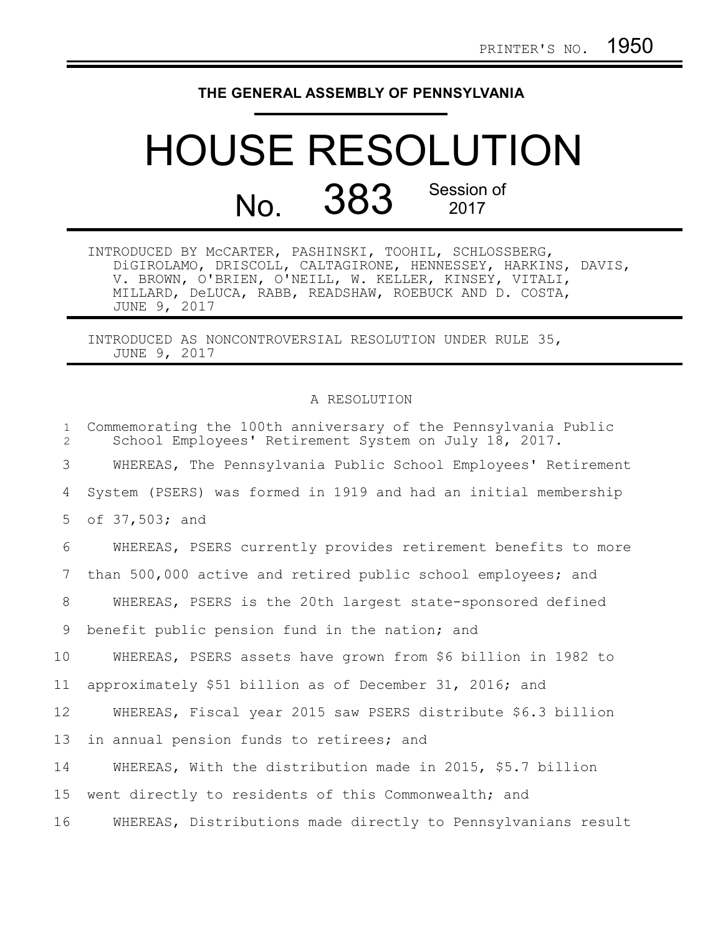## **THE GENERAL ASSEMBLY OF PENNSYLVANIA**

## HOUSE RESOLUTION No. 383 Session of 2017

INTRODUCED BY McCARTER, PASHINSKI, TOOHIL, SCHLOSSBERG, DiGIROLAMO, DRISCOLL, CALTAGIRONE, HENNESSEY, HARKINS, DAVIS, V. BROWN, O'BRIEN, O'NEILL, W. KELLER, KINSEY, VITALI, MILLARD, DeLUCA, RABB, READSHAW, ROEBUCK AND D. COSTA, JUNE 9, 2017

INTRODUCED AS NONCONTROVERSIAL RESOLUTION UNDER RULE 35, JUNE 9, 2017

## A RESOLUTION

| $\mathbf{1}$<br>$\overline{2}$ | Commemorating the 100th anniversary of the Pennsylvania Public<br>School Employees' Retirement System on July 18, 2017. |
|--------------------------------|-------------------------------------------------------------------------------------------------------------------------|
| 3                              | WHEREAS, The Pennsylvania Public School Employees' Retirement                                                           |
| 4                              | System (PSERS) was formed in 1919 and had an initial membership                                                         |
| 5                              | of 37,503; and                                                                                                          |
| 6                              | WHEREAS, PSERS currently provides retirement benefits to more                                                           |
| 7                              | than 500,000 active and retired public school employees; and                                                            |
| 8                              | WHEREAS, PSERS is the 20th largest state-sponsored defined                                                              |
| 9                              | benefit public pension fund in the nation; and                                                                          |
| 10                             | WHEREAS, PSERS assets have grown from \$6 billion in 1982 to                                                            |
| 11                             | approximately \$51 billion as of December 31, 2016; and                                                                 |
| 12                             | WHEREAS, Fiscal year 2015 saw PSERS distribute \$6.3 billion                                                            |
| 13                             | in annual pension funds to retirees; and                                                                                |
| 14                             | WHEREAS, With the distribution made in 2015, \$5.7 billion                                                              |
| 15                             | went directly to residents of this Commonwealth; and                                                                    |
| 16                             | WHEREAS, Distributions made directly to Pennsylvanians result                                                           |